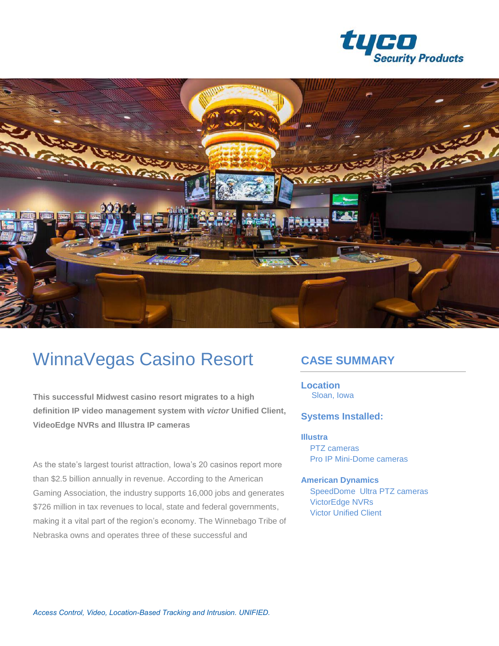



# WinnaVegas Casino Resort

**This successful Midwest casino resort migrates to a high definition IP video management system with** *victor* **Unified Client, VideoEdge NVRs and Illustra IP cameras**

As the state's largest tourist attraction, Iowa's 20 casinos report more than \$2.5 billion annually in revenue. According to the American Gaming Association, the industry supports 16,000 jobs and generates \$726 million in tax revenues to local, state and federal governments, making it a vital part of the region's economy. The Winnebago Tribe of Nebraska owns and operates three of these successful and

### **CASE SUMMARY**

**Location** Sloan, Iowa

#### **Systems Installed:**

**Illustra**  PTZ cameras Pro IP Mini-Dome cameras

**American Dynamics** SpeedDome Ultra PTZ cameras VictorEdge NVRs Victor Unified Client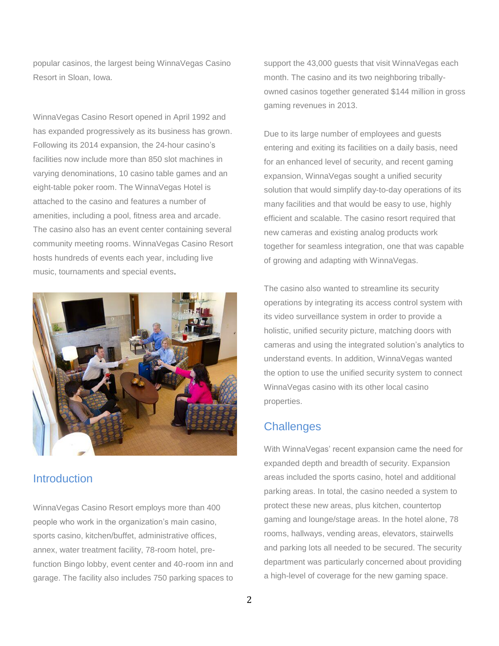popular casinos, the largest being WinnaVegas Casino Resort in Sloan, Iowa.

WinnaVegas Casino Resort opened in April 1992 and has expanded progressively as its business has grown. Following its 2014 expansion, the 24-hour casino's facilities now include more than 850 slot machines in varying denominations, 10 casino table games and an eight-table poker room. The WinnaVegas Hotel is attached to the casino and features a number of amenities, including a pool, fitness area and arcade. The casino also has an event center containing several community meeting rooms. WinnaVegas Casino Resort hosts hundreds of events each year, including live music, tournaments and special events.



#### **Introduction**

WinnaVegas Casino Resort employs more than 400 people who work in the organization's main casino, sports casino, kitchen/buffet, administrative offices, annex, water treatment facility, 78-room hotel, prefunction Bingo lobby, event center and 40-room inn and garage. The facility also includes 750 parking spaces to support the 43,000 guests that visit WinnaVegas each month. The casino and its two neighboring triballyowned casinos together generated \$144 million in gross gaming revenues in 2013.

Due to its large number of employees and guests entering and exiting its facilities on a daily basis, need for an enhanced level of security, and recent gaming expansion, WinnaVegas sought a unified security solution that would simplify day-to-day operations of its many facilities and that would be easy to use, highly efficient and scalable. The casino resort required that new cameras and existing analog products work together for seamless integration, one that was capable of growing and adapting with WinnaVegas.

The casino also wanted to streamline its security operations by integrating its access control system with its video surveillance system in order to provide a holistic, unified security picture, matching doors with cameras and using the integrated solution's analytics to understand events. In addition, WinnaVegas wanted the option to use the unified security system to connect WinnaVegas casino with its other local casino properties.

#### **Challenges**

With WinnaVegas' recent expansion came the need for expanded depth and breadth of security. Expansion areas included the sports casino, hotel and additional parking areas. In total, the casino needed a system to protect these new areas, plus kitchen, countertop gaming and lounge/stage areas. In the hotel alone, 78 rooms, hallways, vending areas, elevators, stairwells and parking lots all needed to be secured. The security department was particularly concerned about providing a high-level of coverage for the new gaming space.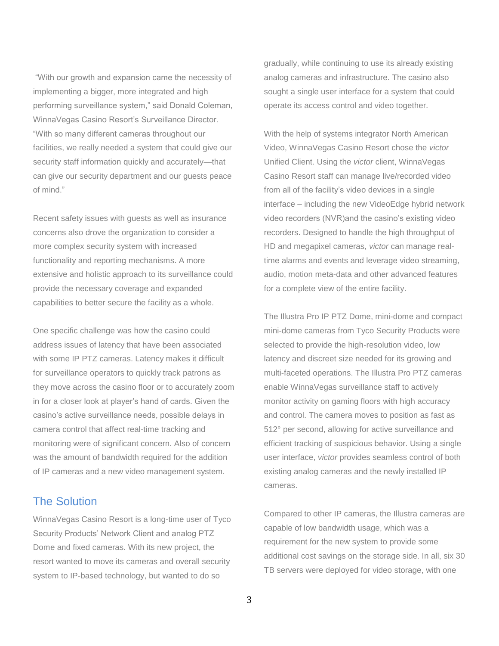"With our growth and expansion came the necessity of implementing a bigger, more integrated and high performing surveillance system," said Donald Coleman, WinnaVegas Casino Resort's Surveillance Director. "With so many different cameras throughout our facilities, we really needed a system that could give our security staff information quickly and accurately—that can give our security department and our guests peace of mind."

Recent safety issues with guests as well as insurance concerns also drove the organization to consider a more complex security system with increased functionality and reporting mechanisms. A more extensive and holistic approach to its surveillance could provide the necessary coverage and expanded capabilities to better secure the facility as a whole.

One specific challenge was how the casino could address issues of latency that have been associated with some IP PTZ cameras. Latency makes it difficult for surveillance operators to quickly track patrons as they move across the casino floor or to accurately zoom in for a closer look at player's hand of cards. Given the casino's active surveillance needs, possible delays in camera control that affect real-time tracking and monitoring were of significant concern. Also of concern was the amount of bandwidth required for the addition of IP cameras and a new video management system.

#### The Solution

WinnaVegas Casino Resort is a long-time user of Tyco Security Products' Network Client and analog PTZ Dome and fixed cameras. With its new project, the resort wanted to move its cameras and overall security system to IP-based technology, but wanted to do so

gradually, while continuing to use its already existing analog cameras and infrastructure. The casino also sought a single user interface for a system that could operate its access control and video together.

With the help of systems integrator North American Video, WinnaVegas Casino Resort chose the *victor*  Unified Client. Using the *victor* client, WinnaVegas Casino Resort staff can manage live/recorded video from all of the facility's video devices in a single interface – including the new VideoEdge hybrid network video recorders (NVR)and the casino's existing video recorders. Designed to handle the high throughput of HD and megapixel cameras, *victor* can manage realtime alarms and events and leverage video streaming, audio, motion meta-data and other advanced features for a complete view of the entire facility.

The Illustra Pro IP PTZ Dome, mini-dome and compact mini-dome cameras from Tyco Security Products were selected to provide the high-resolution video, low latency and discreet size needed for its growing and multi-faceted operations. The Illustra Pro PTZ cameras enable WinnaVegas surveillance staff to actively monitor activity on gaming floors with high accuracy and control. The camera moves to position as fast as 512° per second, allowing for active surveillance and efficient tracking of suspicious behavior. Using a single user interface, *victor* provides seamless control of both existing analog cameras and the newly installed IP cameras.

Compared to other IP cameras, the Illustra cameras are capable of low bandwidth usage, which was a requirement for the new system to provide some additional cost savings on the storage side. In all, six 30 TB servers were deployed for video storage, with one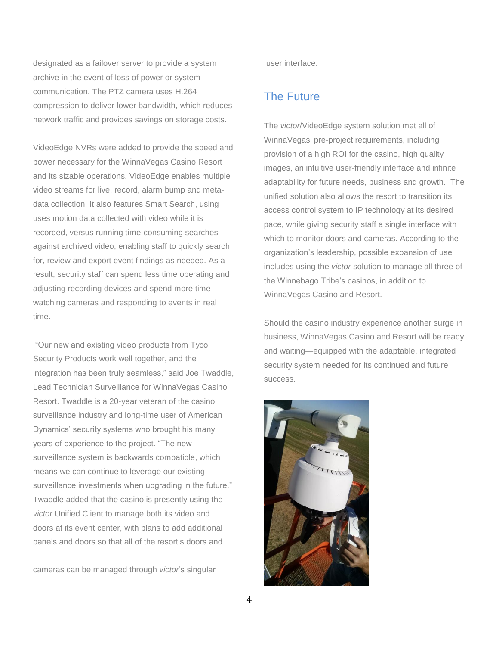designated as a failover server to provide a system archive in the event of loss of power or system communication. The PTZ camera uses H.264 compression to deliver lower bandwidth, which reduces network traffic and provides savings on storage costs.

VideoEdge NVRs were added to provide the speed and power necessary for the WinnaVegas Casino Resort and its sizable operations. VideoEdge enables multiple video streams for live, record, alarm bump and metadata collection. It also features Smart Search, using uses motion data collected with video while it is recorded, versus running time-consuming searches against archived video, enabling staff to quickly search for, review and export event findings as needed. As a result, security staff can spend less time operating and adjusting recording devices and spend more time watching cameras and responding to events in real time.

"Our new and existing video products from Tyco Security Products work well together, and the integration has been truly seamless," said Joe Twaddle, Lead Technician Surveillance for WinnaVegas Casino Resort. Twaddle is a 20-year veteran of the casino surveillance industry and long-time user of American Dynamics' security systems who brought his many years of experience to the project. "The new surveillance system is backwards compatible, which means we can continue to leverage our existing surveillance investments when upgrading in the future." Twaddle added that the casino is presently using the *victor* Unified Client to manage both its video and doors at its event center, with plans to add additional panels and doors so that all of the resort's doors and

cameras can be managed through *victor*'s singular

user interface.

#### The Future

The *victor*/VideoEdge system solution met all of WinnaVegas' pre-project requirements, including provision of a high ROI for the casino, high quality images, an intuitive user-friendly interface and infinite adaptability for future needs, business and growth. The unified solution also allows the resort to transition its access control system to IP technology at its desired pace, while giving security staff a single interface with which to monitor doors and cameras. According to the organization's leadership, possible expansion of use includes using the *victor* solution to manage all three of the Winnebago Tribe's casinos, in addition to WinnaVegas Casino and Resort.

Should the casino industry experience another surge in business, WinnaVegas Casino and Resort will be ready and waiting—equipped with the adaptable, integrated security system needed for its continued and future success.